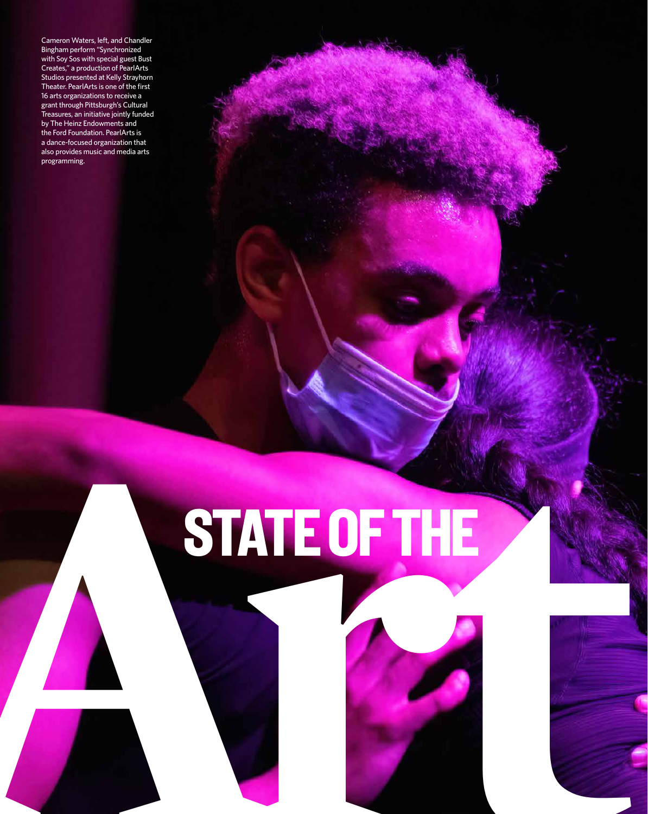Cameron Waters, left, and Chandler Bingham perform "Synchronized with Soy Sos with special guest Bust Creates," a production of PearlArts Studios presented at Kelly Strayhorn Theater. PearlArts is one of the first 16 arts organizations to receive a grant through Pittsburgh's Cultural Treasures, an initiative jointly funded by The Heinz Endowments and the Ford Foundation. PearlArts is a dance-focused organization that also provides music and media arts programming.

## **ARTICLE OF THE PROPERTY OF THE PROPERTY OF THE PROPERTY OF THE PROPERTY OF THE PROPERTY OF THE PROPERTY OF THE PROPERTY OF THE PROPERTY OF THE PROPERTY OF THE PROPERTY OF THE PROPERTY OF THE PROPERTY OF THE PROPERTY OF TH** STATE OF THE

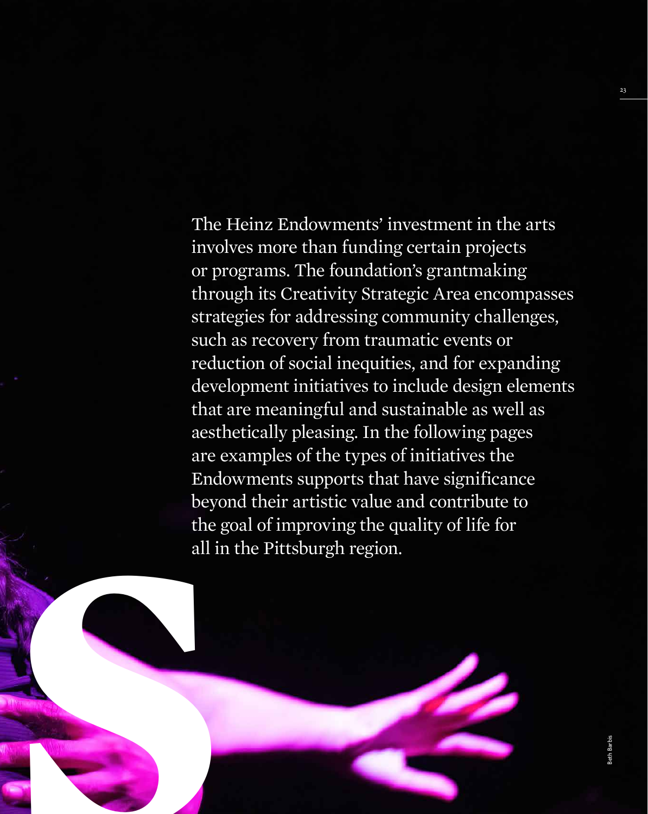**Articles**<br> **Arts**<br> **Arts**<br> **Arts**<br> **Arts**<br> **Arts**<br> **Arts**<br> **Arts**<br> **Arts**<br> **Arts**<br> **Arts**<br> **Arts**<br> **Arts**<br> **Arts**<br> **Arts**<br> **Arts**<br> **Arts**<br> **Arts**<br> **Arts**<br> **Arts**<br> **Arts**<br> **Arts**<br> **Arts**<br> **Arts**<br> **Arts**<br> **Arts** The Heinz Endowments' investment in the arts involves more than funding certain projects or programs. The foundation's grantmaking through its Creativity Strategic Area encompasses strategies for addressing community challenges, such as recovery from traumatic events or reduction of social inequities, and for expanding development initiatives to include design elements that are meaningful and sustainable as well as aesthetically pleasing. In the following pages are examples of the types of initiatives the Endowments supports that have significance beyond their artistic value and contribute to the goal of improving the quality of life for all in the Pittsburgh region.

Beth Barbis

23